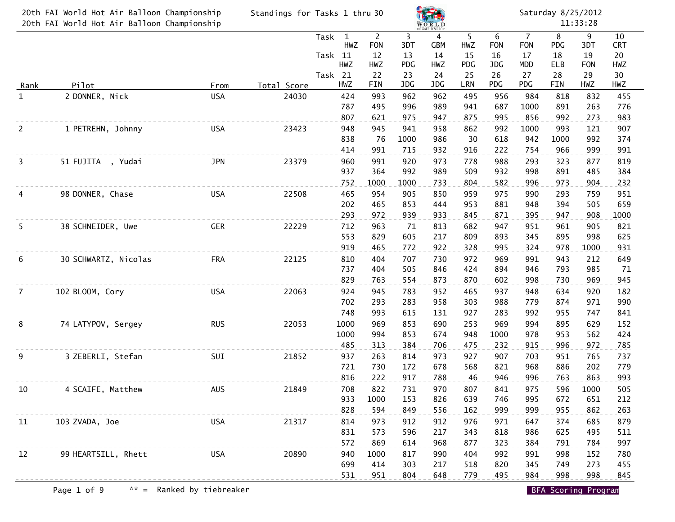|                | 20th FAI World Hot Air Balloon Championship |            | Standings for Tasks 1 thru 30 |         |                     |                              |             |                 |            |                 | Saturday 8/25/2012           |            |            |                  |  |  |
|----------------|---------------------------------------------|------------|-------------------------------|---------|---------------------|------------------------------|-------------|-----------------|------------|-----------------|------------------------------|------------|------------|------------------|--|--|
|                | 20th FAI World Hot Air Balloon Championship |            |                               |         |                     |                              |             | $W$ ORLD        |            |                 |                              |            | 11:33:28   |                  |  |  |
|                |                                             |            |                               | Task    | $\mathbf{1}$<br>HWZ | $\overline{2}$<br><b>FON</b> | 3<br>3DT    | 4<br><b>GBM</b> | 5<br>HWZ   | 6<br><b>FON</b> | $\overline{7}$<br><b>FON</b> | 8<br>PDG   | 9<br>3DT   | 10<br><b>CRT</b> |  |  |
|                |                                             |            |                               | Task 11 |                     | 12                           | 13          | 14              | 15         | 16              | 17                           | 18         | 19         | 20               |  |  |
|                |                                             |            |                               |         | HWZ                 | HWZ                          | <b>PDG</b>  | HWZ             | PDG        | JDG             | MDD                          | ELB        | <b>FON</b> | HWZ              |  |  |
|                |                                             |            |                               | Task 21 |                     | 22                           | 23          | 24              | 25         | 26              | 27                           | 28         | 29         | 30               |  |  |
| <u>Rank</u>    | Pilot                                       | From       | Total Score                   |         | HWZ                 | FIN                          | JDG         | JDG             | LRN        | PDG             | PDG                          | FIN        | HWZ        | HWZ              |  |  |
| $\mathbf{1}$   | 2 DONNER, Nick                              | <b>USA</b> | 24030                         |         | 424<br>787          | 993<br>495                   | 962<br>996  | 962<br>989      | 495<br>941 | 956<br>687      | 984<br>1000                  | 818<br>891 | 832<br>263 | 455<br>776       |  |  |
|                |                                             |            |                               |         | 807                 | 621                          | 975         | 947             | 875        | 995             | 856                          | 992        | 273        | 983              |  |  |
| $\overline{c}$ | 1 PETREHN, Johnny                           | <b>USA</b> | 23423                         |         | 948                 | 945                          | 941         | 958             | 862        | 992             | 1000                         | 993        | 121        | 907              |  |  |
|                |                                             |            |                               |         | 838                 | 76                           | 1000        | 986             | 30         | 618             | 942                          | 1000       | 992        | 374              |  |  |
|                |                                             |            |                               |         | 414                 | 991                          | 715         | 932             | 916        | 222             | 754                          | 966        | 999        | 991              |  |  |
| 3              | 51 FUJITA, Yudai                            | <b>JPN</b> | 23379                         |         | 960                 | 991                          | 920         | 973             | 778        | 988             | 293                          | 323        | 877        | 819              |  |  |
|                |                                             |            |                               |         | 937                 | 364                          | 992         | 989             | 509        | 932             | 998                          | 891        | 485        | 384              |  |  |
| 4              | 98 DONNER, Chase                            | <b>USA</b> | 22508                         |         | 752<br>465          | 1000<br>954                  | 1000<br>905 | 733<br>850      | 804<br>959 | 582<br>975      | 996<br>990                   | 973<br>293 | 904<br>759 | 232<br>951       |  |  |
|                |                                             |            |                               |         | 202                 | 465                          | 853         | 444             | 953        | 881             | 948                          | 394        | 505        | 659              |  |  |
|                |                                             |            |                               |         | 293                 | 972                          | 939         | 933             | 845        | 871             | 395                          | 947        | 908        | 1000             |  |  |
| 5              | 38 SCHNEIDER, Uwe                           | <b>GER</b> | 22229                         |         | 712                 | 963                          | 71          | 813             | 682        | 947             | 951                          | 961        | 905        | 821              |  |  |
|                |                                             |            |                               |         | 553                 | 829                          | 605         | 217             | 809        | 893             | 345                          | 895        | 998        | 625              |  |  |
|                |                                             |            |                               |         | 919                 | 465                          | 772         | 922             | 328        | 995             | 324                          | 978        | 1000       | 931              |  |  |
| 6              | 30 SCHWARTZ, Nicolas                        | <b>FRA</b> | 22125                         |         | 810                 | 404                          | 707         | 730             | 972        | 969             | 991                          | 943        | 212        | 649              |  |  |
|                |                                             |            |                               |         | 737<br>829          | 404<br>763                   | 505<br>554  | 846<br>873      | 424<br>870 | 894<br>602      | 946<br>998                   | 793<br>730 | 985<br>969 | 71<br>945        |  |  |
| $\overline{7}$ | 102 BLOOM, Cory                             | <b>USA</b> | 22063                         |         | 924                 | 945                          | 783         | 952             | 465        | 937             | 948                          | 634        | 920        | 182              |  |  |
|                |                                             |            |                               |         | 702                 | 293                          | 283         | 958             | 303        | 988             | 779                          | 874        | 971        | 990              |  |  |
|                |                                             |            |                               |         | 748                 | 993                          | 615         | 131             | 927        | 283             | 992                          | 955        | 747        | 841              |  |  |
| 8              | 74 LATYPOV, Sergey                          | <b>RUS</b> | 22053                         |         | 1000                | 969                          | 853         | 690             | 253        | 969             | 994                          | 895        | 629        | 152              |  |  |
|                |                                             |            |                               |         | 1000                | 994                          | 853         | 674             | 948        | 1000            | 978                          | 953        | 562        | 424              |  |  |
|                |                                             |            |                               |         | 485                 | 313                          | 384         | 706             | 475        | 232             | 915                          | 996        | 972        | 785              |  |  |
| 9              | 3 ZEBERLI, Stefan                           | SUI        | 21852                         |         | 937                 | 263                          | 814         | 973             | 927        | 907             | 703                          | 951        | 765        | 737              |  |  |
|                |                                             |            |                               |         | 721<br>816          | 730<br>222                   | 172<br>917  | 678<br>788      | 568<br>46  | 821<br>946      | 968<br>996                   | 886<br>763 | 202<br>863 | 779<br>993       |  |  |
| 10             | 4 SCAIFE, Matthew                           | AUS        | 21849                         |         | 708                 | 822                          | 731         | 970             | 807        | 841             | 975                          | 596        | 1000       | 505              |  |  |
|                |                                             |            |                               |         | 933                 | 1000                         | 153         | 826             | 639        | 746             | 995                          | 672        | 651        | 212              |  |  |
|                |                                             |            |                               |         | 828                 | 594                          | 849         | 556             | 162        | 999             | 999                          | 955        | 862        | 263              |  |  |
| 11             | 103 ZVADA, Joe                              | <b>USA</b> | 21317                         |         | 814                 | 973                          | 912         | 912             | 976        | 971             | 647                          | 374        | 685        | 879              |  |  |
|                |                                             |            |                               |         | 831                 | 573                          | 596         | 217             | 343        | 818             | 986                          | 625        | 495        | 511              |  |  |
|                |                                             |            |                               |         | 572                 | 869                          | 614         | 968             | 877        | 323             | 384                          | 791        | 784        | 997              |  |  |
| 12             | 99 HEARTSILL, Rhett                         | <b>USA</b> | 20890                         |         | 940                 | 1000                         | 817         | 990             | 404        | 992             | 991                          | 998        | 152        | 780              |  |  |
|                |                                             |            |                               |         | 699<br>531          | 414<br>951                   | 303<br>804  | 217<br>648      | 518<br>779 | 820<br>495      | 345<br>984                   | 749<br>998 | 273<br>998 | 455<br>845       |  |  |
|                |                                             |            |                               |         |                     |                              |             |                 |            |                 |                              |            |            |                  |  |  |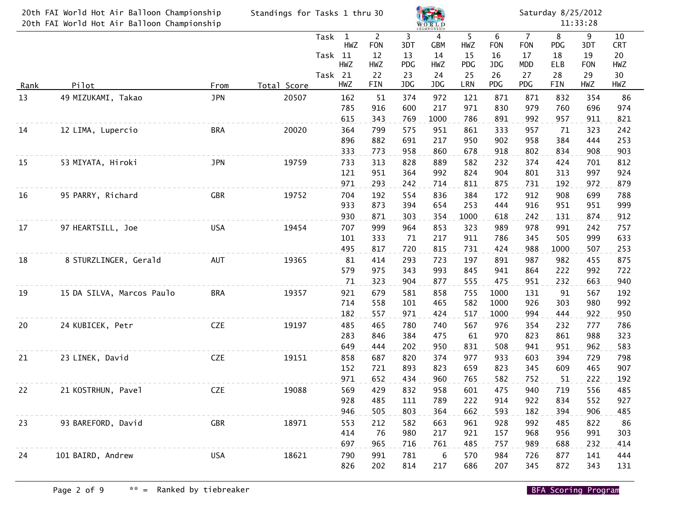|             | 20th FAI World Hot Air Balloon Championship<br>20th FAI World Hot Air Balloon Championship | Standings for Tasks 1 thru 30 |             |                                                                 |                                                 | <b>WORLD</b>                |                                    | Saturday 8/25/2012<br>11:33:28 |                                    |                                                        |                                    |                                    |                                     |  |
|-------------|--------------------------------------------------------------------------------------------|-------------------------------|-------------|-----------------------------------------------------------------|-------------------------------------------------|-----------------------------|------------------------------------|--------------------------------|------------------------------------|--------------------------------------------------------|------------------------------------|------------------------------------|-------------------------------------|--|
|             |                                                                                            |                               |             | Task<br>$\mathbf{1}$<br>HWZ<br>Task 11<br><b>HWZ</b><br>Task 21 | $\overline{2}$<br><b>FON</b><br>12<br>HWZ<br>22 | 3<br>3DT<br>13<br>PDG<br>23 | 4<br><b>GBM</b><br>14<br>HWZ<br>24 | 5<br>HWZ<br>15<br>PDG<br>25    | 6<br><b>FON</b><br>16<br>JDG<br>26 | $\overline{7}$<br><b>FON</b><br>17<br><b>MDD</b><br>27 | 8<br>PDG<br>18<br><b>ELB</b><br>28 | 9<br>3DT<br>19<br><b>FON</b><br>29 | 10<br><b>CRT</b><br>20<br>HWZ<br>30 |  |
| <u>Rank</u> | Pilot                                                                                      | From                          | Total Score | HWZ                                                             | FIN                                             | JDG                         | JDG                                | LRN                            | PDG                                | PDG                                                    | FIN                                | HWZ                                | HWZ                                 |  |
| 13          | 49 MIZUKAMI, Takao                                                                         | <b>JPN</b>                    | 20507       | 162<br>785<br>615                                               | 51<br>916<br>343                                | 374<br>600<br>769           | 972<br>217<br>1000                 | 121<br>971<br>786              | 871<br>830<br>891                  | 871<br>979<br>992                                      | 832<br>760<br>957                  | 354<br>696<br>911                  | 86<br>974<br>821                    |  |
| 14          | 12 LIMA, Lupercio                                                                          | <b>BRA</b>                    | 20020       | 364<br>896<br>333                                               | 799<br>882<br>773                               | 575<br>691<br>958           | 951<br>217<br>860                  | 861<br>950<br>678              | 333<br>902<br>918                  | 957<br>958<br>802                                      | 71<br>384<br>834                   | 323<br>444<br>908                  | 242<br>253<br>903                   |  |
| 15          | 53 MIYATA, Hiroki                                                                          | <b>JPN</b>                    | 19759       | 733<br>121                                                      | 313<br>951                                      | 828<br>364                  | 889<br>992                         | 582<br>824                     | 232<br>904                         | 374<br>801                                             | 424<br>313                         | 701<br>997                         | 812<br>924                          |  |
| 16          | 95 PARRY, Richard                                                                          | <b>GBR</b>                    | 19752       | 971<br>704<br>933<br>930                                        | 293<br>192<br>873<br>871                        | 242<br>554<br>394<br>303    | 714<br>836<br>654<br>354           | 811<br>384<br>253<br>1000      | 875<br>172<br>444<br>618           | 731<br>912<br>916<br>242                               | 192<br>908<br>951<br>131           | 972<br>699<br>951<br>874           | 879<br>788<br>999<br>912            |  |
| 17          | 97 HEARTSILL, Joe                                                                          | <b>USA</b>                    | 19454       | 707<br>101<br>495                                               | 999<br>333<br>817                               | 964<br>71<br>720            | 853<br>217<br>815                  | 323<br>911<br>731              | 989<br>786<br>424                  | 978<br>345<br>988                                      | 991<br>505<br>1000                 | 242<br>999<br>507                  | 757<br>633<br>253                   |  |
| 18          | 8 STURZLINGER, Gerald                                                                      | AUT                           | 19365       | 81<br>579<br>71                                                 | 414<br>975<br>323                               | 293<br>343<br>904           | 723<br>993<br>877                  | 197<br>845<br>555              | 891<br>941<br>475                  | 987<br>864<br>951                                      | 982<br>222<br>232                  | 455<br>992<br>663                  | 875<br>722<br>940                   |  |
| 19          | 15 DA SILVA, Marcos Paulo                                                                  | <b>BRA</b>                    | 19357       | 921<br>714<br>182                                               | 679<br>558<br>557                               | 581<br>101<br>971           | 858<br>465<br>424                  | 755<br>582<br>517              | 1000<br>1000<br>1000               | 131<br>926<br>994                                      | 91<br>303<br>444                   | 567<br>980<br>922                  | 192<br>992<br>950                   |  |
| 20          | 24 KUBICEK, Petr                                                                           | <b>CZE</b>                    | 19197       | 485<br>283<br>649                                               | 465<br>846<br>444                               | 780<br>384<br>202           | 740<br>475<br>950                  | 567<br>61<br>831               | 976<br>970<br>508                  | 354<br>823<br>941                                      | 232<br>861<br>951                  | 777<br>988<br>962                  | 786<br>323<br>583                   |  |
| 21          | 23 LINEK, David                                                                            | <b>CZE</b>                    | 19151       | 858<br>152<br>971                                               | 687<br>721<br>652                               | 820<br>893<br>434           | 374<br>823<br>960                  | 977<br>659<br>765              | 933<br>823<br>582                  | 603<br>345<br>752                                      | 394<br>609<br>51                   | 729<br>465<br>222                  | 798<br>907<br>192                   |  |
| 22          | 21 KOSTRHUN, Pavel                                                                         | <b>CZE</b>                    | 19088       | 569<br>928<br>946                                               | 429<br>485<br>505                               | 832<br>111<br>803           | 958<br>789<br>364                  | 601<br>222<br>662              | 475<br>914<br>593                  | 940<br>922<br>182                                      | 719<br>834<br>394                  | 556<br>552<br>906                  | 485<br>927<br>485                   |  |
| 23          | 93 BAREFORD, David                                                                         | GBR                           | 18971       | 553<br>414<br>697                                               | 212<br>76<br>965                                | 582<br>980<br>716           | 663<br>217<br>761                  | 961<br>921<br>485              | 928<br>157<br>757                  | 992<br>968<br>989                                      | 485<br>956<br>688                  | 822<br>991<br>232                  | 86<br>303<br>414                    |  |
| 24          | 101 BAIRD, Andrew                                                                          | <b>USA</b>                    | 18621       | 790<br>826                                                      | 991<br>202                                      | 781<br>814                  | 6<br>217                           | 570<br>686                     | 984<br>207                         | 726<br>345                                             | 877<br>872                         | 141<br>343                         | 444<br>131                          |  |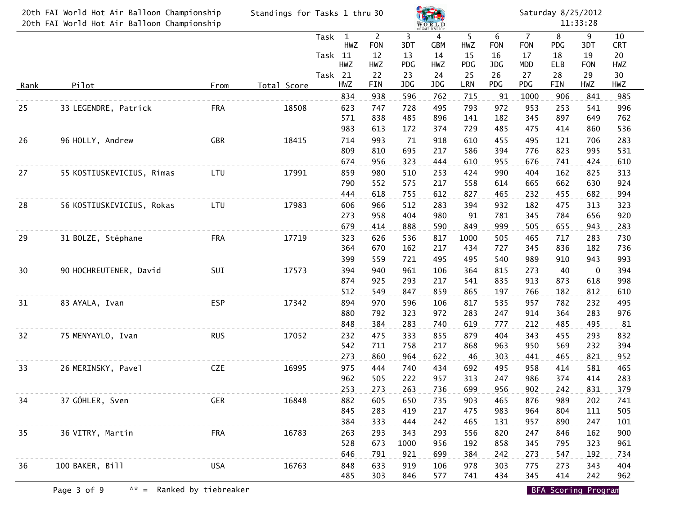| 20th FAI World Hot Air Balloon Championship<br>20th FAI World Hot Air Balloon Championship |                           |            | Standings for Tasks 1 thru 30 |                                               |                                           |                       | WORLD<br><b>CHAMPIONSHIP</b>              |                       | Saturday 8/25/2012<br>11:33:28 |                                                  |                       |                              |                               |  |  |
|--------------------------------------------------------------------------------------------|---------------------------|------------|-------------------------------|-----------------------------------------------|-------------------------------------------|-----------------------|-------------------------------------------|-----------------------|--------------------------------|--------------------------------------------------|-----------------------|------------------------------|-------------------------------|--|--|
|                                                                                            |                           |            |                               | $\mathbf{1}$<br>Task<br>HWZ<br>Task 11<br>HWZ | $\overline{2}$<br><b>FON</b><br>12<br>HWZ | 3<br>3DT<br>13<br>PDG | $\overline{4}$<br><b>GBM</b><br>14<br>HWZ | 5<br>HWZ<br>15<br>PDG | 6<br><b>FON</b><br>16<br>JDG   | $\overline{7}$<br><b>FON</b><br>17<br><b>MDD</b> | 8<br>PDG<br>18<br>ELB | 9<br>3DT<br>19<br><b>FON</b> | 10<br><b>CRT</b><br>20<br>HWZ |  |  |
| <u>Rank</u>                                                                                | Pilot                     | From       | Total Score                   | Task 21<br>HWZ                                | 22<br><b>FIN</b>                          | 23<br>JDG             | 24<br>JDG                                 | 25<br>LRN             | 26<br>PDG                      | 27<br>PDG                                        | 28<br>FIN             | 29<br>HWZ                    | 30<br>HWZ                     |  |  |
|                                                                                            |                           |            |                               | 834                                           | 938                                       | 596                   | 762                                       | 715                   | 91                             | 1000                                             | 906                   | 841                          | 985                           |  |  |
| 25                                                                                         | 33 LEGENDRE, Patrick      | <b>FRA</b> | 18508                         | 623<br>571<br>983                             | 747<br>838<br>613                         | 728<br>485<br>172     | 495<br>896<br>374                         | 793<br>141<br>729     | 972<br>182<br>485              | 953<br>345<br>475                                | 253<br>897<br>414     | 541<br>649<br>860            | 996<br>762<br>536             |  |  |
| 26                                                                                         | 96 HOLLY, Andrew          | <b>GBR</b> | 18415                         | 714<br>809<br>674                             | 993<br>810<br>956                         | 71<br>695<br>323      | 918<br>217<br>444                         | 610<br>586<br>610     | 455<br>394<br>955              | 495<br>776<br>676                                | 121<br>823<br>741     | 706<br>995<br>424            | 283<br>531<br>610             |  |  |
| 27                                                                                         | 55 KOSTIUSKEVICIUS, Rimas | LTU        | 17991                         | 859<br>790<br>444                             | 980<br>552<br>618                         | 510<br>575<br>755     | 253<br>217<br>612                         | 424<br>558<br>827     | 990<br>614<br>465              | 404<br>665<br>232                                | 162<br>662<br>455     | 825<br>630<br>682            | 313<br>924<br>994             |  |  |
| 28                                                                                         | 56 KOSTIUSKEVICIUS, Rokas | LTU        | 17983                         | 606<br>273<br>679                             | 966<br>958<br>414                         | 512<br>404<br>888     | 283<br>980<br>590                         | 394<br>91<br>849      | 932<br>781<br>999              | 182<br>345<br>505                                | 475<br>784<br>655     | 313<br>656<br>943            | 323<br>920<br>283             |  |  |
| 29                                                                                         | 31 BOLZE, Stéphane        | <b>FRA</b> | 17719                         | 323<br>364<br>399                             | 626<br>670<br>559                         | 536<br>162<br>721     | 817<br>217<br>495                         | 1000<br>434<br>495    | 505<br>727<br>540              | 465<br>345<br>989                                | 717<br>836<br>910     | 283<br>182<br>943            | 730<br>736<br>993             |  |  |
| 30                                                                                         | 90 HOCHREUTENER, David    | SUI        | 17573                         | 394<br>874<br>512                             | 940<br>925<br>549                         | 961<br>293<br>847     | 106<br>217<br>859                         | 364<br>541<br>865     | 815<br>835<br>197              | 273<br>913<br>766                                | 40<br>873<br>182      | 0<br>618<br>812              | 394<br>998<br>610             |  |  |
| 31                                                                                         | 83 AYALA, Ivan            | <b>ESP</b> | 17342                         | 894<br>880<br>848                             | 970<br>792<br>384                         | 596<br>323<br>283     | 106<br>972<br>740                         | 817<br>283<br>619     | 535<br>247<br>777              | 957<br>914<br>212                                | 782<br>364<br>485     | 232<br>283<br>495            | 495<br>976<br>81              |  |  |
| 32                                                                                         | 75 MENYAYLO, Ivan         | <b>RUS</b> | 17052                         | 232<br>542<br>273                             | 475<br>711<br>860                         | 333<br>758<br>964     | 855<br>217<br>622                         | 879<br>868<br>46      | 404<br>963<br>303              | 343<br>950<br>441                                | 455<br>569<br>465     | 293<br>232<br>821            | 832<br>394<br>952             |  |  |
| 33                                                                                         | 26 MERINSKY, Pavel        | <b>CZE</b> | 16995                         | 975<br>962<br>253                             | 444<br>505<br>273                         | 740<br>222<br>263     | 434<br>957<br>736                         | 692<br>313<br>699     | 495<br>247<br>956              | 958<br>986<br>902                                | 414<br>374<br>242     | 581<br>414<br>831            | 465<br>283<br>379             |  |  |
| 34                                                                                         | 37 GÖHLER, Sven           | <b>GER</b> | 16848                         | 882<br>845<br>384                             | 605<br>283<br>333                         | 650<br>419<br>444     | 735<br>217<br>242                         | 903<br>475<br>465     | 465<br>983<br>131              | 876<br>964<br>957                                | 989<br>804<br>890     | 202<br>111<br>247            | 741<br>505<br>101             |  |  |
| 35                                                                                         | 36 VITRY, Martin          | <b>FRA</b> | 16783                         | 263<br>528<br>646                             | 293<br>673<br>791                         | 343<br>1000<br>921    | 293<br>956<br>699                         | 556<br>192<br>384     | 820<br>858<br>242              | 247<br>345<br>273                                | 846<br>795<br>547     | 162<br>323<br>192            | 900<br>961<br>734             |  |  |
| 36                                                                                         | 100 BAKER, Bill           | <b>USA</b> | 16763                         | 848<br>485                                    | 633<br>303                                | 919<br>846            | 106<br>577                                | 978<br>741            | 303<br>434                     | 775<br>345                                       | 273<br>414            | 343<br>242                   | 404<br>962                    |  |  |

Page 3 of 9  $\ast \ast$  = Ranked by tiebreaker BFA Scoring Program BFA Scoring Program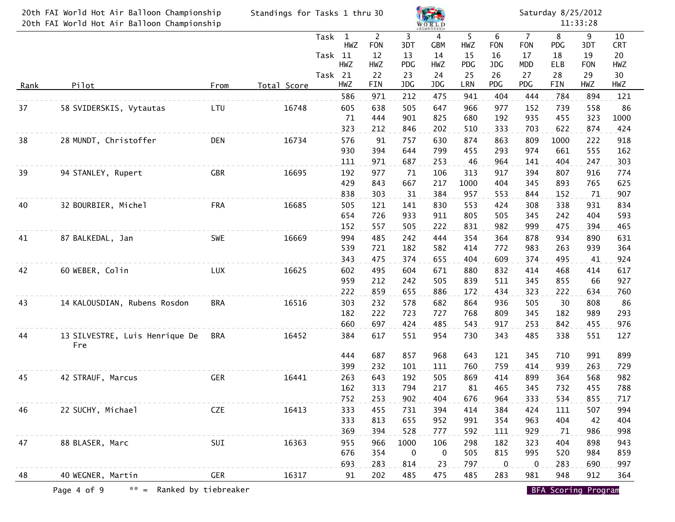| 20th FAI World Hot Air Balloon Championship<br>20th FAI World Hot Air Balloon Championship |                                       |            | Standings for Tasks 1 thru 30 |                 |                     |                                    |                | WORLD<br><b>CHAMPIONSHI</b> |                | Saturday 8/25/2012<br>11:33:28 |                                    |                       |                |                        |  |  |
|--------------------------------------------------------------------------------------------|---------------------------------------|------------|-------------------------------|-----------------|---------------------|------------------------------------|----------------|-----------------------------|----------------|--------------------------------|------------------------------------|-----------------------|----------------|------------------------|--|--|
|                                                                                            |                                       |            |                               | Task<br>Task 11 | $\mathbf{1}$<br>HWZ | $\overline{2}$<br><b>FON</b><br>12 | 3<br>3DT<br>13 | 4<br><b>GBM</b><br>14       | 5<br>HWZ<br>15 | 6<br><b>FON</b><br>16          | $\overline{7}$<br><b>FON</b><br>17 | 8<br><b>PDG</b><br>18 | 9<br>3DT<br>19 | 10<br><b>CRT</b><br>20 |  |  |
|                                                                                            |                                       |            |                               |                 | HWZ                 | HWZ                                | PDG            | HWZ                         | PDG            | JDG                            | <b>MDD</b>                         | ELB                   | <b>FON</b>     | HWZ                    |  |  |
| <u>Rank</u>                                                                                | Pilot                                 | From       | Total Score                   | Task 21         | HWZ                 | 22<br>FIN                          | 23<br>JDG      | 24<br>JDG                   | 25<br>LRN      | 26<br>PDG                      | 27<br>PDG                          | 28<br><b>FIN</b>      | 29<br>HWZ      | 30<br>HWZ              |  |  |
|                                                                                            |                                       |            |                               |                 | 586                 | 971                                | 212            | 475                         | 941            | 404                            | 444                                | 784                   | 894            | 121                    |  |  |
| 37                                                                                         | 58 SVIDERSKIS, Vytautas               | LTU        | 16748                         |                 | 605                 | 638                                | 505            | 647                         | 966            | 977                            | 152                                | 739                   | 558            | 86                     |  |  |
|                                                                                            |                                       |            |                               |                 | 71                  | 444                                | 901            | 825                         | 680            | 192                            | 935                                | 455                   | 323            | 1000                   |  |  |
|                                                                                            |                                       |            |                               |                 | 323                 | 212                                | 846            | 202                         | 510            | 333                            | 703                                | 622                   | 874            | 424                    |  |  |
| 38                                                                                         | 28 MUNDT, Christoffer                 | DEN        | 16734                         |                 | 576<br>930          | 91<br>394                          | 757<br>644     | 630<br>799                  | 874<br>455     | 863<br>293                     | 809<br>974                         | 1000<br>661           | 222<br>555     | 918<br>162             |  |  |
|                                                                                            |                                       |            |                               |                 | 111                 | 971                                | 687            | 253                         | 46             | 964                            | 141                                | 404                   | 247            | 303                    |  |  |
| 39                                                                                         | 94 STANLEY, Rupert                    | <b>GBR</b> | 16695                         |                 | 192                 | 977                                | 71             | 106                         | 313            | 917                            | 394                                | 807                   | 916            | 774                    |  |  |
|                                                                                            |                                       |            |                               |                 | 429                 | 843                                | 667            | 217                         | 1000           | 404                            | 345                                | 893                   | 765            | 625                    |  |  |
|                                                                                            |                                       |            |                               |                 | 838                 | 303                                | 31             | 384                         | 957            | 553                            | 844                                | 152                   | 71             | 907                    |  |  |
| 40                                                                                         | 32 BOURBIER, Michel                   | <b>FRA</b> | 16685                         |                 | 505                 | 121                                | 141            | 830                         | 553            | 424                            | 308                                | 338                   | 931            | 834                    |  |  |
|                                                                                            |                                       |            |                               |                 | 654                 | 726                                | 933            | 911                         | 805            | 505                            | 345                                | 242                   | 404            | 593                    |  |  |
|                                                                                            |                                       |            |                               |                 | 152                 | 557                                | 505            | 222                         | 831            | 982                            | 999                                | 475                   | 394            | 465                    |  |  |
| 41                                                                                         | 87 BALKEDAL, Jan                      | <b>SWE</b> | 16669                         |                 | 994<br>539          | 485<br>721                         | 242<br>182     | 444<br>582                  | 354<br>414     | 364<br>772                     | 878<br>983                         | 934<br>263            | 890<br>939     | 631<br>364             |  |  |
|                                                                                            |                                       |            |                               |                 | 343                 | 475                                | 374            | 655                         | 404            | 609                            | 374                                | 495                   | 41             | 924                    |  |  |
| 42                                                                                         | 60 WEBER, Colin                       | LUX        | 16625                         |                 | 602                 | 495                                | 604            | 671                         | 880            | 832                            | 414                                | 468                   | 414            | 617                    |  |  |
|                                                                                            |                                       |            |                               |                 | 959                 | 212                                | 242            | 505                         | 839            | 511                            | 345                                | 855                   | 66             | 927                    |  |  |
|                                                                                            |                                       |            |                               |                 | 222                 | 859                                | 655            | 886                         | 172            | 434                            | 323                                | 222                   | 634            | 760                    |  |  |
| 43                                                                                         | 14 KALOUSDIAN, Rubens Rosdon          | <b>BRA</b> | 16516                         |                 | 303                 | 232                                | 578            | 682                         | 864            | 936                            | 505                                | 30                    | 808            | 86                     |  |  |
|                                                                                            |                                       |            |                               |                 | 182                 | 222                                | 723            | 727                         | 768            | 809                            | 345                                | 182                   | 989            | 293                    |  |  |
|                                                                                            |                                       |            |                               |                 | 660                 | 697                                | 424            | 485                         | 543            | 917                            | 253                                | 842                   | 455            | 976                    |  |  |
| 44                                                                                         | 13 SILVESTRE, Luis Henrique De<br>Fre | <b>BRA</b> | 16452                         |                 | 384                 | 617                                | 551            | 954                         | 730            | 343                            | 485                                | 338                   | 551            | 127                    |  |  |
|                                                                                            |                                       |            |                               |                 | 444                 | 687                                | 857            | 968                         | 643            | 121                            | 345                                | 710                   | 991            | 899                    |  |  |
|                                                                                            |                                       |            |                               |                 | 399                 | 232                                | 101            | 111                         | 760            | 759                            | 414                                | 939                   | 263            | 729                    |  |  |
| 45                                                                                         | 42 STRAUF, Marcus                     | <b>GER</b> | 16441                         |                 | 263<br>162          | 643<br>313                         | 192<br>794     | 505<br>217                  | 869<br>81      | 414<br>465                     | 899<br>345                         | 364<br>732            | 568<br>455     | 982<br>788             |  |  |
|                                                                                            |                                       |            |                               |                 | 752                 | 253                                | 902            | 404                         | 676            | 964                            | 333                                | 534                   | 855            | 717                    |  |  |
| 46                                                                                         | 22 SUCHY, Michael                     | <b>CZE</b> | 16413                         |                 | 333                 | 455                                | 731            | 394                         | 414            | 384                            | 424                                | 111                   | 507            | 994                    |  |  |
|                                                                                            |                                       |            |                               |                 | 333                 | 813                                | 655            | 952                         | 991            | 354                            | 963                                | 404                   | 42             | 404                    |  |  |
|                                                                                            |                                       |            |                               |                 | 369                 | 394                                | 528            | 777                         | 592            | 111                            | 929                                | 71                    | 986            | 998                    |  |  |
| 47                                                                                         | 88 BLASER, Marc                       | SUI        | 16363                         |                 | 955                 | 966                                | 1000           | 106                         | 298            | 182                            | 323                                | 404                   | 898            | 943                    |  |  |
|                                                                                            |                                       |            |                               |                 | 676                 | 354                                | 0              | $\overline{0}$              | 505            | 815                            | 995                                | 520                   | 984            | 859                    |  |  |
|                                                                                            |                                       |            |                               |                 | 693                 | 283                                | 814            | 23                          | 797            | $\overline{0}$                 | 0                                  | 283                   | 690            | 997                    |  |  |
| 48                                                                                         | 40 WEGNER, Martin                     | <b>GER</b> | 16317                         |                 | 91                  | 202                                | 485            | 475                         | 485            | 283                            | 981                                | 948                   | 912            | 364                    |  |  |

Page 4 of 9  $\ast \ast$  = Ranked by tiebreaker BFA Scoring Program BFA Scoring Program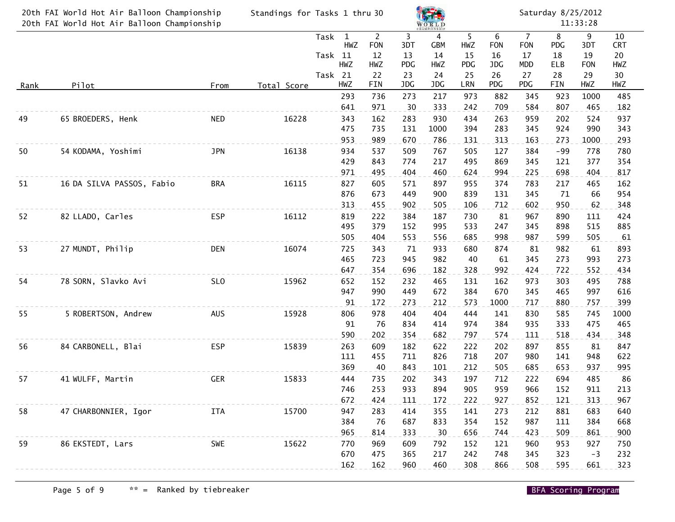| <b>CHAMPIONSHI</b><br>$\overline{2}$<br>3<br>5<br>6<br>$\overline{7}$<br>8<br>9<br>10<br>Task<br>1<br>4<br>HWZ<br><b>FON</b><br>HWZ<br>3DT<br>GBM<br><b>FON</b><br><b>FON</b><br><b>PDG</b><br>3DT<br><b>CRT</b><br>Task 11<br>14<br>12<br>15<br>18<br>19<br>20<br>13<br>16<br>17<br>HWZ<br>PDG<br>ELB<br>HWZ<br>HWZ<br><b>PDG</b><br>JDG<br><b>MDD</b><br><b>FON</b><br>HWZ<br>Task 21<br>25<br>30<br>22<br>23<br>24<br>26<br>27<br>28<br>29<br>PDG<br>HWZ<br>FIN<br>JDG<br>LRN<br>PDG<br>FIN<br>HWZ<br>HWZ<br>JDG<br>Pilot<br>Total Score<br><u>Rank</u><br>From<br>973<br>882<br>1000<br>293<br>736<br>273<br>217<br>345<br>923<br>485<br>641<br>971<br>242<br>709<br>30<br>333<br>584<br>807<br>465<br>182<br>65 BROEDERS, Henk<br>16228<br>343<br>162<br>283<br>434<br>263<br>49<br><b>NED</b><br>930<br>959<br>202<br>524<br>937<br>475<br>735<br>394<br>283<br>924<br>131<br>1000<br>345<br>990<br>343<br>953<br>989<br>670<br>786<br>131<br>313<br>163<br>293<br>273<br>1000<br>934<br>50<br>54 KODAMA, Yoshimi<br><b>JPN</b><br>16138<br>537<br>509<br>767<br>505<br>127<br>384<br>$-99$<br>778<br>780<br>377<br>429<br>843<br>774<br>217<br>495<br>869<br>345<br>121<br>354<br>624<br>994<br>698<br>404<br>971<br>495<br>404<br>460<br>225<br>817<br>16115<br>827<br>374<br>783<br>51<br>16 DA SILVA PASSOS, Fabio<br><b>BRA</b><br>605<br>571<br>897<br>955<br>217<br>465<br>162<br>876<br>954<br>673<br>449<br>900<br>839<br>131<br>345<br>71<br>66<br>313<br>602<br>950<br>455<br>902<br>505<br>106<br>712<br>62<br>348<br>52<br>82 LLADO, Carles<br><b>ESP</b><br>16112<br>819<br>222<br>384<br>187<br>730<br>81<br>967<br>424<br>890<br>111<br>495<br>379<br>152<br>995<br>533<br>247<br>345<br>898<br>515<br>885<br>998<br>505<br>505<br>404<br>556<br>685<br>987<br>599<br>61<br>553<br>27 MUNDT, Philip<br>16074<br>725<br>343<br>933<br>680<br>874<br>81<br>982<br>61<br>893<br>53<br><b>DEN</b><br>71<br>465<br>723<br>945<br>982<br>40<br>61<br>345<br>273<br>993<br>273<br>992<br>647<br>354<br>696<br>328<br>424<br>722<br>552<br>182<br>434<br>973<br>78 SORN, Slavko Avi<br>SL <sub>0</sub><br>15962<br>652<br>152<br>232<br>465<br>131<br>162<br>303<br>495<br>788<br>54<br>947<br>670<br>990<br>449<br>672<br>384<br>345<br>465<br>997<br>616<br>573<br>91<br>172<br>273<br>212<br>1000<br>717<br>880<br>757<br>399<br>5 ROBERTSON, Andrew<br><b>AUS</b><br>15928<br>806<br>978<br>404<br>444<br>141<br>830<br>55<br>404<br>585<br>745<br>1000<br>384<br>91<br>834<br>414<br>974<br>935<br>333<br>475<br>76<br>465<br>574<br>590<br>202<br>354<br>682<br>111<br>518<br>434<br>797<br>348<br>84 CARBONELL, Blai<br>15839<br>263<br>222<br>202<br>56<br><b>ESP</b><br>609<br>182<br>622<br>897<br>855<br>81<br>847<br>111<br>826<br>718<br>207<br>980<br>141<br>948<br>622<br>455<br>711<br>369<br>843<br>212<br>505<br>685<br>653<br>937<br>995<br>40<br>101<br>15833<br>444<br>735<br>202<br>343<br>197<br>712<br>222<br>694<br>485<br>86<br>57<br>41 WULFF, Martin<br><b>GER</b><br>253<br>933<br>894<br>905<br>959<br>966<br>152<br>911<br>213<br>746<br>672<br>222<br>927<br>424<br>111<br>172<br>852<br>121<br>313<br>967<br>947<br>355<br>273<br>683<br>283<br>414<br>141<br>212<br>881<br>58<br>47 CHARBONNIER, Igor<br>ITA<br>15700<br>640<br>833<br>354<br>152<br>384<br>384<br>76<br>687<br>987<br>111<br>668<br>965<br>814<br>333<br>30<br>656<br>744<br>423<br>509<br>861<br>900<br>770<br>59<br>86 EKSTEDT, Lars<br>SWE<br>15622<br>969<br>609<br>792<br>152<br>121<br>960<br>953<br>927<br>750<br>670<br>475<br>365<br>217<br>242<br>748<br>345<br>323<br>232<br>$-3$<br>308<br>162<br>162<br>960<br>460<br>866<br>508<br>595<br>323<br>661 | 20th FAI World Hot Air Balloon Championship<br>20th FAI World Hot Air Balloon Championship | Standings for Tasks 1 thru 30 |  |  |  | WORLD |  | Saturday 8/25/2012<br>11:33:28 |  |  |  |  |  |
|-------------------------------------------------------------------------------------------------------------------------------------------------------------------------------------------------------------------------------------------------------------------------------------------------------------------------------------------------------------------------------------------------------------------------------------------------------------------------------------------------------------------------------------------------------------------------------------------------------------------------------------------------------------------------------------------------------------------------------------------------------------------------------------------------------------------------------------------------------------------------------------------------------------------------------------------------------------------------------------------------------------------------------------------------------------------------------------------------------------------------------------------------------------------------------------------------------------------------------------------------------------------------------------------------------------------------------------------------------------------------------------------------------------------------------------------------------------------------------------------------------------------------------------------------------------------------------------------------------------------------------------------------------------------------------------------------------------------------------------------------------------------------------------------------------------------------------------------------------------------------------------------------------------------------------------------------------------------------------------------------------------------------------------------------------------------------------------------------------------------------------------------------------------------------------------------------------------------------------------------------------------------------------------------------------------------------------------------------------------------------------------------------------------------------------------------------------------------------------------------------------------------------------------------------------------------------------------------------------------------------------------------------------------------------------------------------------------------------------------------------------------------------------------------------------------------------------------------------------------------------------------------------------------------------------------------------------------------------------------------------------------------------------------------------------------------------------------------------------------------------------------------------------------------------------------------------------------------------------------------------------------------------------------------------------------------------------------------------------------------------------------------------------------------------------------------------------------------------------------------------------------------------------------------------------------------------------------------------------------------------------------------------------------------------------------|--------------------------------------------------------------------------------------------|-------------------------------|--|--|--|-------|--|--------------------------------|--|--|--|--|--|
|                                                                                                                                                                                                                                                                                                                                                                                                                                                                                                                                                                                                                                                                                                                                                                                                                                                                                                                                                                                                                                                                                                                                                                                                                                                                                                                                                                                                                                                                                                                                                                                                                                                                                                                                                                                                                                                                                                                                                                                                                                                                                                                                                                                                                                                                                                                                                                                                                                                                                                                                                                                                                                                                                                                                                                                                                                                                                                                                                                                                                                                                                                                                                                                                                                                                                                                                                                                                                                                                                                                                                                                                                                                                                     |                                                                                            |                               |  |  |  |       |  |                                |  |  |  |  |  |
|                                                                                                                                                                                                                                                                                                                                                                                                                                                                                                                                                                                                                                                                                                                                                                                                                                                                                                                                                                                                                                                                                                                                                                                                                                                                                                                                                                                                                                                                                                                                                                                                                                                                                                                                                                                                                                                                                                                                                                                                                                                                                                                                                                                                                                                                                                                                                                                                                                                                                                                                                                                                                                                                                                                                                                                                                                                                                                                                                                                                                                                                                                                                                                                                                                                                                                                                                                                                                                                                                                                                                                                                                                                                                     |                                                                                            |                               |  |  |  |       |  |                                |  |  |  |  |  |
|                                                                                                                                                                                                                                                                                                                                                                                                                                                                                                                                                                                                                                                                                                                                                                                                                                                                                                                                                                                                                                                                                                                                                                                                                                                                                                                                                                                                                                                                                                                                                                                                                                                                                                                                                                                                                                                                                                                                                                                                                                                                                                                                                                                                                                                                                                                                                                                                                                                                                                                                                                                                                                                                                                                                                                                                                                                                                                                                                                                                                                                                                                                                                                                                                                                                                                                                                                                                                                                                                                                                                                                                                                                                                     |                                                                                            |                               |  |  |  |       |  |                                |  |  |  |  |  |
|                                                                                                                                                                                                                                                                                                                                                                                                                                                                                                                                                                                                                                                                                                                                                                                                                                                                                                                                                                                                                                                                                                                                                                                                                                                                                                                                                                                                                                                                                                                                                                                                                                                                                                                                                                                                                                                                                                                                                                                                                                                                                                                                                                                                                                                                                                                                                                                                                                                                                                                                                                                                                                                                                                                                                                                                                                                                                                                                                                                                                                                                                                                                                                                                                                                                                                                                                                                                                                                                                                                                                                                                                                                                                     |                                                                                            |                               |  |  |  |       |  |                                |  |  |  |  |  |
|                                                                                                                                                                                                                                                                                                                                                                                                                                                                                                                                                                                                                                                                                                                                                                                                                                                                                                                                                                                                                                                                                                                                                                                                                                                                                                                                                                                                                                                                                                                                                                                                                                                                                                                                                                                                                                                                                                                                                                                                                                                                                                                                                                                                                                                                                                                                                                                                                                                                                                                                                                                                                                                                                                                                                                                                                                                                                                                                                                                                                                                                                                                                                                                                                                                                                                                                                                                                                                                                                                                                                                                                                                                                                     |                                                                                            |                               |  |  |  |       |  |                                |  |  |  |  |  |
|                                                                                                                                                                                                                                                                                                                                                                                                                                                                                                                                                                                                                                                                                                                                                                                                                                                                                                                                                                                                                                                                                                                                                                                                                                                                                                                                                                                                                                                                                                                                                                                                                                                                                                                                                                                                                                                                                                                                                                                                                                                                                                                                                                                                                                                                                                                                                                                                                                                                                                                                                                                                                                                                                                                                                                                                                                                                                                                                                                                                                                                                                                                                                                                                                                                                                                                                                                                                                                                                                                                                                                                                                                                                                     |                                                                                            |                               |  |  |  |       |  |                                |  |  |  |  |  |
|                                                                                                                                                                                                                                                                                                                                                                                                                                                                                                                                                                                                                                                                                                                                                                                                                                                                                                                                                                                                                                                                                                                                                                                                                                                                                                                                                                                                                                                                                                                                                                                                                                                                                                                                                                                                                                                                                                                                                                                                                                                                                                                                                                                                                                                                                                                                                                                                                                                                                                                                                                                                                                                                                                                                                                                                                                                                                                                                                                                                                                                                                                                                                                                                                                                                                                                                                                                                                                                                                                                                                                                                                                                                                     |                                                                                            |                               |  |  |  |       |  |                                |  |  |  |  |  |
|                                                                                                                                                                                                                                                                                                                                                                                                                                                                                                                                                                                                                                                                                                                                                                                                                                                                                                                                                                                                                                                                                                                                                                                                                                                                                                                                                                                                                                                                                                                                                                                                                                                                                                                                                                                                                                                                                                                                                                                                                                                                                                                                                                                                                                                                                                                                                                                                                                                                                                                                                                                                                                                                                                                                                                                                                                                                                                                                                                                                                                                                                                                                                                                                                                                                                                                                                                                                                                                                                                                                                                                                                                                                                     |                                                                                            |                               |  |  |  |       |  |                                |  |  |  |  |  |
|                                                                                                                                                                                                                                                                                                                                                                                                                                                                                                                                                                                                                                                                                                                                                                                                                                                                                                                                                                                                                                                                                                                                                                                                                                                                                                                                                                                                                                                                                                                                                                                                                                                                                                                                                                                                                                                                                                                                                                                                                                                                                                                                                                                                                                                                                                                                                                                                                                                                                                                                                                                                                                                                                                                                                                                                                                                                                                                                                                                                                                                                                                                                                                                                                                                                                                                                                                                                                                                                                                                                                                                                                                                                                     |                                                                                            |                               |  |  |  |       |  |                                |  |  |  |  |  |
|                                                                                                                                                                                                                                                                                                                                                                                                                                                                                                                                                                                                                                                                                                                                                                                                                                                                                                                                                                                                                                                                                                                                                                                                                                                                                                                                                                                                                                                                                                                                                                                                                                                                                                                                                                                                                                                                                                                                                                                                                                                                                                                                                                                                                                                                                                                                                                                                                                                                                                                                                                                                                                                                                                                                                                                                                                                                                                                                                                                                                                                                                                                                                                                                                                                                                                                                                                                                                                                                                                                                                                                                                                                                                     |                                                                                            |                               |  |  |  |       |  |                                |  |  |  |  |  |
|                                                                                                                                                                                                                                                                                                                                                                                                                                                                                                                                                                                                                                                                                                                                                                                                                                                                                                                                                                                                                                                                                                                                                                                                                                                                                                                                                                                                                                                                                                                                                                                                                                                                                                                                                                                                                                                                                                                                                                                                                                                                                                                                                                                                                                                                                                                                                                                                                                                                                                                                                                                                                                                                                                                                                                                                                                                                                                                                                                                                                                                                                                                                                                                                                                                                                                                                                                                                                                                                                                                                                                                                                                                                                     |                                                                                            |                               |  |  |  |       |  |                                |  |  |  |  |  |
|                                                                                                                                                                                                                                                                                                                                                                                                                                                                                                                                                                                                                                                                                                                                                                                                                                                                                                                                                                                                                                                                                                                                                                                                                                                                                                                                                                                                                                                                                                                                                                                                                                                                                                                                                                                                                                                                                                                                                                                                                                                                                                                                                                                                                                                                                                                                                                                                                                                                                                                                                                                                                                                                                                                                                                                                                                                                                                                                                                                                                                                                                                                                                                                                                                                                                                                                                                                                                                                                                                                                                                                                                                                                                     |                                                                                            |                               |  |  |  |       |  |                                |  |  |  |  |  |
|                                                                                                                                                                                                                                                                                                                                                                                                                                                                                                                                                                                                                                                                                                                                                                                                                                                                                                                                                                                                                                                                                                                                                                                                                                                                                                                                                                                                                                                                                                                                                                                                                                                                                                                                                                                                                                                                                                                                                                                                                                                                                                                                                                                                                                                                                                                                                                                                                                                                                                                                                                                                                                                                                                                                                                                                                                                                                                                                                                                                                                                                                                                                                                                                                                                                                                                                                                                                                                                                                                                                                                                                                                                                                     |                                                                                            |                               |  |  |  |       |  |                                |  |  |  |  |  |
|                                                                                                                                                                                                                                                                                                                                                                                                                                                                                                                                                                                                                                                                                                                                                                                                                                                                                                                                                                                                                                                                                                                                                                                                                                                                                                                                                                                                                                                                                                                                                                                                                                                                                                                                                                                                                                                                                                                                                                                                                                                                                                                                                                                                                                                                                                                                                                                                                                                                                                                                                                                                                                                                                                                                                                                                                                                                                                                                                                                                                                                                                                                                                                                                                                                                                                                                                                                                                                                                                                                                                                                                                                                                                     |                                                                                            |                               |  |  |  |       |  |                                |  |  |  |  |  |
|                                                                                                                                                                                                                                                                                                                                                                                                                                                                                                                                                                                                                                                                                                                                                                                                                                                                                                                                                                                                                                                                                                                                                                                                                                                                                                                                                                                                                                                                                                                                                                                                                                                                                                                                                                                                                                                                                                                                                                                                                                                                                                                                                                                                                                                                                                                                                                                                                                                                                                                                                                                                                                                                                                                                                                                                                                                                                                                                                                                                                                                                                                                                                                                                                                                                                                                                                                                                                                                                                                                                                                                                                                                                                     |                                                                                            |                               |  |  |  |       |  |                                |  |  |  |  |  |
|                                                                                                                                                                                                                                                                                                                                                                                                                                                                                                                                                                                                                                                                                                                                                                                                                                                                                                                                                                                                                                                                                                                                                                                                                                                                                                                                                                                                                                                                                                                                                                                                                                                                                                                                                                                                                                                                                                                                                                                                                                                                                                                                                                                                                                                                                                                                                                                                                                                                                                                                                                                                                                                                                                                                                                                                                                                                                                                                                                                                                                                                                                                                                                                                                                                                                                                                                                                                                                                                                                                                                                                                                                                                                     |                                                                                            |                               |  |  |  |       |  |                                |  |  |  |  |  |
|                                                                                                                                                                                                                                                                                                                                                                                                                                                                                                                                                                                                                                                                                                                                                                                                                                                                                                                                                                                                                                                                                                                                                                                                                                                                                                                                                                                                                                                                                                                                                                                                                                                                                                                                                                                                                                                                                                                                                                                                                                                                                                                                                                                                                                                                                                                                                                                                                                                                                                                                                                                                                                                                                                                                                                                                                                                                                                                                                                                                                                                                                                                                                                                                                                                                                                                                                                                                                                                                                                                                                                                                                                                                                     |                                                                                            |                               |  |  |  |       |  |                                |  |  |  |  |  |
|                                                                                                                                                                                                                                                                                                                                                                                                                                                                                                                                                                                                                                                                                                                                                                                                                                                                                                                                                                                                                                                                                                                                                                                                                                                                                                                                                                                                                                                                                                                                                                                                                                                                                                                                                                                                                                                                                                                                                                                                                                                                                                                                                                                                                                                                                                                                                                                                                                                                                                                                                                                                                                                                                                                                                                                                                                                                                                                                                                                                                                                                                                                                                                                                                                                                                                                                                                                                                                                                                                                                                                                                                                                                                     |                                                                                            |                               |  |  |  |       |  |                                |  |  |  |  |  |
|                                                                                                                                                                                                                                                                                                                                                                                                                                                                                                                                                                                                                                                                                                                                                                                                                                                                                                                                                                                                                                                                                                                                                                                                                                                                                                                                                                                                                                                                                                                                                                                                                                                                                                                                                                                                                                                                                                                                                                                                                                                                                                                                                                                                                                                                                                                                                                                                                                                                                                                                                                                                                                                                                                                                                                                                                                                                                                                                                                                                                                                                                                                                                                                                                                                                                                                                                                                                                                                                                                                                                                                                                                                                                     |                                                                                            |                               |  |  |  |       |  |                                |  |  |  |  |  |
|                                                                                                                                                                                                                                                                                                                                                                                                                                                                                                                                                                                                                                                                                                                                                                                                                                                                                                                                                                                                                                                                                                                                                                                                                                                                                                                                                                                                                                                                                                                                                                                                                                                                                                                                                                                                                                                                                                                                                                                                                                                                                                                                                                                                                                                                                                                                                                                                                                                                                                                                                                                                                                                                                                                                                                                                                                                                                                                                                                                                                                                                                                                                                                                                                                                                                                                                                                                                                                                                                                                                                                                                                                                                                     |                                                                                            |                               |  |  |  |       |  |                                |  |  |  |  |  |
|                                                                                                                                                                                                                                                                                                                                                                                                                                                                                                                                                                                                                                                                                                                                                                                                                                                                                                                                                                                                                                                                                                                                                                                                                                                                                                                                                                                                                                                                                                                                                                                                                                                                                                                                                                                                                                                                                                                                                                                                                                                                                                                                                                                                                                                                                                                                                                                                                                                                                                                                                                                                                                                                                                                                                                                                                                                                                                                                                                                                                                                                                                                                                                                                                                                                                                                                                                                                                                                                                                                                                                                                                                                                                     |                                                                                            |                               |  |  |  |       |  |                                |  |  |  |  |  |
|                                                                                                                                                                                                                                                                                                                                                                                                                                                                                                                                                                                                                                                                                                                                                                                                                                                                                                                                                                                                                                                                                                                                                                                                                                                                                                                                                                                                                                                                                                                                                                                                                                                                                                                                                                                                                                                                                                                                                                                                                                                                                                                                                                                                                                                                                                                                                                                                                                                                                                                                                                                                                                                                                                                                                                                                                                                                                                                                                                                                                                                                                                                                                                                                                                                                                                                                                                                                                                                                                                                                                                                                                                                                                     |                                                                                            |                               |  |  |  |       |  |                                |  |  |  |  |  |
|                                                                                                                                                                                                                                                                                                                                                                                                                                                                                                                                                                                                                                                                                                                                                                                                                                                                                                                                                                                                                                                                                                                                                                                                                                                                                                                                                                                                                                                                                                                                                                                                                                                                                                                                                                                                                                                                                                                                                                                                                                                                                                                                                                                                                                                                                                                                                                                                                                                                                                                                                                                                                                                                                                                                                                                                                                                                                                                                                                                                                                                                                                                                                                                                                                                                                                                                                                                                                                                                                                                                                                                                                                                                                     |                                                                                            |                               |  |  |  |       |  |                                |  |  |  |  |  |
|                                                                                                                                                                                                                                                                                                                                                                                                                                                                                                                                                                                                                                                                                                                                                                                                                                                                                                                                                                                                                                                                                                                                                                                                                                                                                                                                                                                                                                                                                                                                                                                                                                                                                                                                                                                                                                                                                                                                                                                                                                                                                                                                                                                                                                                                                                                                                                                                                                                                                                                                                                                                                                                                                                                                                                                                                                                                                                                                                                                                                                                                                                                                                                                                                                                                                                                                                                                                                                                                                                                                                                                                                                                                                     |                                                                                            |                               |  |  |  |       |  |                                |  |  |  |  |  |
|                                                                                                                                                                                                                                                                                                                                                                                                                                                                                                                                                                                                                                                                                                                                                                                                                                                                                                                                                                                                                                                                                                                                                                                                                                                                                                                                                                                                                                                                                                                                                                                                                                                                                                                                                                                                                                                                                                                                                                                                                                                                                                                                                                                                                                                                                                                                                                                                                                                                                                                                                                                                                                                                                                                                                                                                                                                                                                                                                                                                                                                                                                                                                                                                                                                                                                                                                                                                                                                                                                                                                                                                                                                                                     |                                                                                            |                               |  |  |  |       |  |                                |  |  |  |  |  |
|                                                                                                                                                                                                                                                                                                                                                                                                                                                                                                                                                                                                                                                                                                                                                                                                                                                                                                                                                                                                                                                                                                                                                                                                                                                                                                                                                                                                                                                                                                                                                                                                                                                                                                                                                                                                                                                                                                                                                                                                                                                                                                                                                                                                                                                                                                                                                                                                                                                                                                                                                                                                                                                                                                                                                                                                                                                                                                                                                                                                                                                                                                                                                                                                                                                                                                                                                                                                                                                                                                                                                                                                                                                                                     |                                                                                            |                               |  |  |  |       |  |                                |  |  |  |  |  |
|                                                                                                                                                                                                                                                                                                                                                                                                                                                                                                                                                                                                                                                                                                                                                                                                                                                                                                                                                                                                                                                                                                                                                                                                                                                                                                                                                                                                                                                                                                                                                                                                                                                                                                                                                                                                                                                                                                                                                                                                                                                                                                                                                                                                                                                                                                                                                                                                                                                                                                                                                                                                                                                                                                                                                                                                                                                                                                                                                                                                                                                                                                                                                                                                                                                                                                                                                                                                                                                                                                                                                                                                                                                                                     |                                                                                            |                               |  |  |  |       |  |                                |  |  |  |  |  |
|                                                                                                                                                                                                                                                                                                                                                                                                                                                                                                                                                                                                                                                                                                                                                                                                                                                                                                                                                                                                                                                                                                                                                                                                                                                                                                                                                                                                                                                                                                                                                                                                                                                                                                                                                                                                                                                                                                                                                                                                                                                                                                                                                                                                                                                                                                                                                                                                                                                                                                                                                                                                                                                                                                                                                                                                                                                                                                                                                                                                                                                                                                                                                                                                                                                                                                                                                                                                                                                                                                                                                                                                                                                                                     |                                                                                            |                               |  |  |  |       |  |                                |  |  |  |  |  |
|                                                                                                                                                                                                                                                                                                                                                                                                                                                                                                                                                                                                                                                                                                                                                                                                                                                                                                                                                                                                                                                                                                                                                                                                                                                                                                                                                                                                                                                                                                                                                                                                                                                                                                                                                                                                                                                                                                                                                                                                                                                                                                                                                                                                                                                                                                                                                                                                                                                                                                                                                                                                                                                                                                                                                                                                                                                                                                                                                                                                                                                                                                                                                                                                                                                                                                                                                                                                                                                                                                                                                                                                                                                                                     |                                                                                            |                               |  |  |  |       |  |                                |  |  |  |  |  |
|                                                                                                                                                                                                                                                                                                                                                                                                                                                                                                                                                                                                                                                                                                                                                                                                                                                                                                                                                                                                                                                                                                                                                                                                                                                                                                                                                                                                                                                                                                                                                                                                                                                                                                                                                                                                                                                                                                                                                                                                                                                                                                                                                                                                                                                                                                                                                                                                                                                                                                                                                                                                                                                                                                                                                                                                                                                                                                                                                                                                                                                                                                                                                                                                                                                                                                                                                                                                                                                                                                                                                                                                                                                                                     |                                                                                            |                               |  |  |  |       |  |                                |  |  |  |  |  |
|                                                                                                                                                                                                                                                                                                                                                                                                                                                                                                                                                                                                                                                                                                                                                                                                                                                                                                                                                                                                                                                                                                                                                                                                                                                                                                                                                                                                                                                                                                                                                                                                                                                                                                                                                                                                                                                                                                                                                                                                                                                                                                                                                                                                                                                                                                                                                                                                                                                                                                                                                                                                                                                                                                                                                                                                                                                                                                                                                                                                                                                                                                                                                                                                                                                                                                                                                                                                                                                                                                                                                                                                                                                                                     |                                                                                            |                               |  |  |  |       |  |                                |  |  |  |  |  |
|                                                                                                                                                                                                                                                                                                                                                                                                                                                                                                                                                                                                                                                                                                                                                                                                                                                                                                                                                                                                                                                                                                                                                                                                                                                                                                                                                                                                                                                                                                                                                                                                                                                                                                                                                                                                                                                                                                                                                                                                                                                                                                                                                                                                                                                                                                                                                                                                                                                                                                                                                                                                                                                                                                                                                                                                                                                                                                                                                                                                                                                                                                                                                                                                                                                                                                                                                                                                                                                                                                                                                                                                                                                                                     |                                                                                            |                               |  |  |  |       |  |                                |  |  |  |  |  |
|                                                                                                                                                                                                                                                                                                                                                                                                                                                                                                                                                                                                                                                                                                                                                                                                                                                                                                                                                                                                                                                                                                                                                                                                                                                                                                                                                                                                                                                                                                                                                                                                                                                                                                                                                                                                                                                                                                                                                                                                                                                                                                                                                                                                                                                                                                                                                                                                                                                                                                                                                                                                                                                                                                                                                                                                                                                                                                                                                                                                                                                                                                                                                                                                                                                                                                                                                                                                                                                                                                                                                                                                                                                                                     |                                                                                            |                               |  |  |  |       |  |                                |  |  |  |  |  |
|                                                                                                                                                                                                                                                                                                                                                                                                                                                                                                                                                                                                                                                                                                                                                                                                                                                                                                                                                                                                                                                                                                                                                                                                                                                                                                                                                                                                                                                                                                                                                                                                                                                                                                                                                                                                                                                                                                                                                                                                                                                                                                                                                                                                                                                                                                                                                                                                                                                                                                                                                                                                                                                                                                                                                                                                                                                                                                                                                                                                                                                                                                                                                                                                                                                                                                                                                                                                                                                                                                                                                                                                                                                                                     |                                                                                            |                               |  |  |  |       |  |                                |  |  |  |  |  |
|                                                                                                                                                                                                                                                                                                                                                                                                                                                                                                                                                                                                                                                                                                                                                                                                                                                                                                                                                                                                                                                                                                                                                                                                                                                                                                                                                                                                                                                                                                                                                                                                                                                                                                                                                                                                                                                                                                                                                                                                                                                                                                                                                                                                                                                                                                                                                                                                                                                                                                                                                                                                                                                                                                                                                                                                                                                                                                                                                                                                                                                                                                                                                                                                                                                                                                                                                                                                                                                                                                                                                                                                                                                                                     |                                                                                            |                               |  |  |  |       |  |                                |  |  |  |  |  |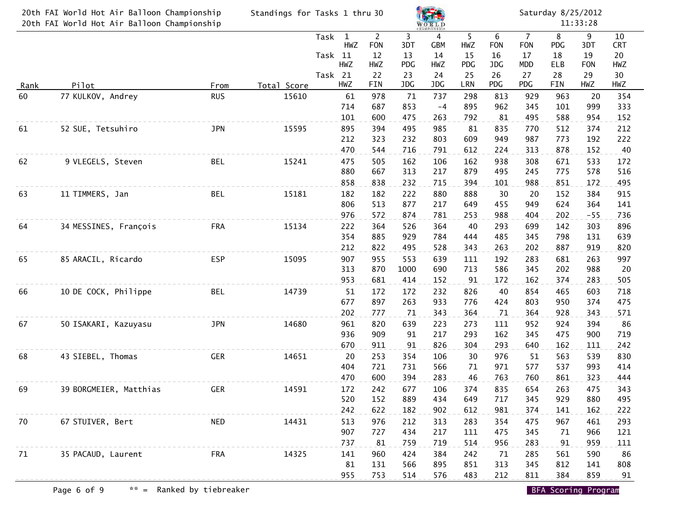|      | 20th FAI World Hot Air Balloon Championship | Standings for Tasks 1 thru 30 |             |         |                     |                    |            |                 |             |                 | Saturday 8/25/2012           |                 |            |                  |  |
|------|---------------------------------------------|-------------------------------|-------------|---------|---------------------|--------------------|------------|-----------------|-------------|-----------------|------------------------------|-----------------|------------|------------------|--|
|      | 20th FAI World Hot Air Balloon Championship |                               |             |         |                     |                    |            | WORLD           |             |                 |                              |                 | 11:33:28   |                  |  |
|      |                                             |                               |             | Task    | $\mathbf{1}$<br>HWZ | $2^{\circ}$<br>FON | 3<br>3DT   | 4<br><b>GBM</b> | 5<br>HWZ    | 6<br><b>FON</b> | $\overline{7}$<br><b>FON</b> | 8<br><b>PDG</b> | 9<br>3DT   | 10<br><b>CRT</b> |  |
|      |                                             |                               |             | Task 11 |                     | 12                 | 13         | 14              | 15          | 16              | 17                           | 18              | 19         | 20               |  |
|      |                                             |                               |             |         | HWZ                 | HWZ                | <b>PDG</b> | HWZ             | PDG         | JDG             | <b>MDD</b>                   | ELB             | <b>FON</b> | HWZ              |  |
| Rank | Pilot                                       | From                          | Total Score | Task 21 | HWZ                 | 22<br>FIN          | 23<br>JDG  | 24<br>JDG       | 25<br>LRN   | 26<br>PDG       | 27<br>PDG                    | 28<br>FIN       | 29<br>HWZ  | 30<br>HWZ        |  |
| 60   | 77 KULKOV, Andrey                           | <b>RUS</b>                    | 15610       |         | 61                  | 978                | 71         | 737             | 298         | 813             | 929                          | 963             | 20         | 354              |  |
|      |                                             |                               |             |         | 714                 | 687                | 853        | $-4$            | 895         | 962             | 345                          | 101             | 999        | 333              |  |
|      |                                             |                               |             |         | 101                 | 600                | 475        | 263             | 792         | 81              | 495                          | 588             | 954        | 152              |  |
| 61   | 52 SUE, Tetsuhiro                           | <b>JPN</b>                    | 15595       |         | 895                 | 394                | 495        | 985             | 81          | 835             | 770                          | 512             | 374        | 212              |  |
|      |                                             |                               |             |         | 212                 | 323                | 232        | 803             | 609         | 949             | 987                          | 773             | 192        | 222              |  |
|      |                                             |                               |             |         | 470                 | 544                | 716        | 791             | 612         | 224             | 313                          | 878             | 152        | 40               |  |
| 62   | 9 VLEGELS, Steven                           | <b>BEL</b>                    | 15241       |         | 475<br>880          | 505<br>667         | 162<br>313 | 106<br>217      | 162<br>879  | 938<br>495      | 308<br>245                   | 671<br>775      | 533<br>578 | 172<br>516       |  |
|      |                                             |                               |             |         | 858                 | 838                | 232        | 715             | 394         | 101             | 988                          | 851             | 172        | 495              |  |
| 63   | 11 TIMMERS, Jan                             | <b>BEL</b>                    | 15181       |         | 182                 | 182                | 222        | 880             | 888         | 30              | 20                           | 152             | 384        | 915              |  |
|      |                                             |                               |             |         | 806                 | 513                | 877        | 217             | 649         | 455             | 949                          | 624             | 364        | 141              |  |
|      |                                             |                               |             |         | 976                 | 572                | 874        | 781             | 253         | 988             | 404                          | 202             | $-55$      | 736              |  |
| 64   | 34 MESSINES, François                       | <b>FRA</b>                    | 15134       |         | 222                 | 364                | 526        | 364             | 40          | 293             | 699                          | 142             | 303        | 896              |  |
|      |                                             |                               |             |         | 354                 | 885                | 929        | 784             | 444         | 485             | 345                          | 798             | 131        | 639              |  |
|      |                                             |                               |             |         | 212                 | 822                | 495        | 528             | 343         | 263             | 202                          | 887             | 919        | 820              |  |
| 65   | 85 ARACIL, Ricardo                          | <b>ESP</b>                    | 15095       |         | 907                 | 955                | 553        | 639             | <u> 111</u> | 192             | 283                          | 681             | 263        | 997              |  |
|      |                                             |                               |             |         | 313                 | 870                | 1000       | 690             | 713         | 586             | 345                          | 202             | 988        | 20               |  |
|      |                                             |                               |             |         | 953                 | 681                | 414        | 152             | 91          | 172             | 162                          | 374             | 283        | 505              |  |
| 66   | 10 DE COCK, Philippe                        | <b>BEL</b>                    | 14739       |         | 51                  | 172                | 172        | 232             | 826         | 40              | 854                          | 465             | 603        | 718              |  |
|      |                                             |                               |             |         | 677                 | 897                | 263        | 933             | 776         | 424             | 803                          | 950             | 374        | 475              |  |
|      |                                             |                               |             |         | 202                 | 777                | 71         | 343             | 364         | 71              | 364                          | 928             | 343        | 571              |  |
| 67   | 50 ISAKARI, Kazuyasu                        | <b>JPN</b>                    | 14680       |         | 961<br>936          | 820<br>909         | 639        | 223<br>217      | 273<br>293  | 111<br>162      | 952<br>345                   | 924<br>475      | 394<br>900 | 86<br>719        |  |
|      |                                             |                               |             |         | 670                 | 911                | 91<br>91   | 826             | 304         | 293             | 640                          | 162             | 111        | 242              |  |
| 68   | 43 SIEBEL, Thomas                           | <b>GER</b>                    | 14651       |         | 20                  | 253                | 354        | 106             | 30          | 976             | 51                           | 563             | 539        | 830              |  |
|      |                                             |                               |             |         | 404                 | 721                | 731        | 566             | 71          | 971             | 577                          | 537             | 993        | 414              |  |
|      |                                             |                               |             |         | 470                 | 600                | 394        | 283             | 46          | 763             | 760                          | 861             | 323        | 444              |  |
| 69   | 39 BORGMEIER, Matthias                      | GER                           | 14591       |         | 172                 | 242                | 677        | 106             | 374         | 835             | 654                          | 263             | 475        | 343              |  |
|      |                                             |                               |             |         | 520                 | 152                | 889        | 434             | 649         | 717             | 345                          | 929             | 880        | 495              |  |
|      |                                             |                               |             |         | 242                 | 622                | 182        | 902             | 612         | 981             | 374                          | 141             | 162        | 222              |  |
| 70   | 67 STUIVER, Bert                            | <b>Example 2018</b> NED       | 14431       |         | 513                 | 976                | 212        | 313             | 283         | 354             | 475                          | 967             | 461        | 293              |  |
|      |                                             |                               |             |         | 907                 | 727                | 434        | 217             | 111         | 475             | 345                          | 71              | 966        | 121              |  |
|      |                                             |                               |             |         | 737                 | 81                 | 759        | 719             | 514         | 956             | 283                          | 91              | 959        | 111              |  |
| 71   | 35 PACAUD, Laurent                          | FRA                           | 14325       |         | 141                 | 960                | 424        | 384             | 242         | 71              | 285                          | 561             | 590        | 86               |  |
|      |                                             |                               |             |         | 81                  | 131                | 566        | 895             | 851         | 313             | 345                          | 812             | 141        | 808              |  |
|      |                                             |                               |             |         | 955                 | 753                | 514        | 576             | 483         | 212             | 811                          | 384             | 859        | 91               |  |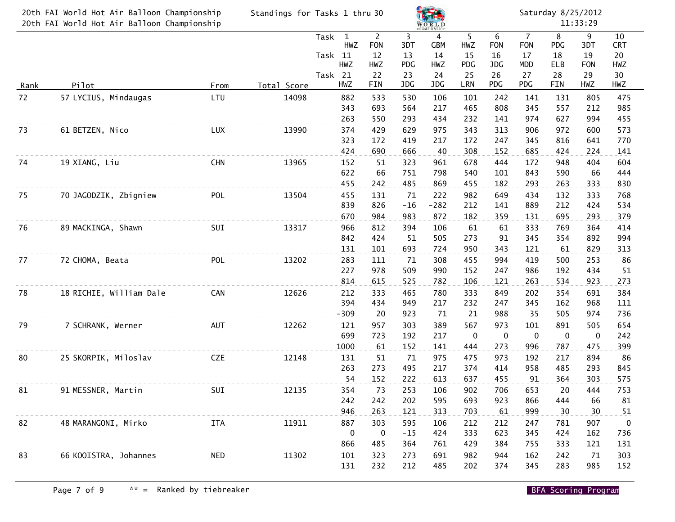|    | 20th FAI World Hot Air Balloon Championship<br>20th FAI World Hot Air Balloon Championship | Standings for Tasks 1 thru 30 |             |                                                                 |                                              | <b>WORLD</b><br>CHAMPIONSHIP                    |                                    |                             | Saturday 8/25/2012<br>11:33:29     |                                                 |                             |                                    |                                     |  |
|----|--------------------------------------------------------------------------------------------|-------------------------------|-------------|-----------------------------------------------------------------|----------------------------------------------|-------------------------------------------------|------------------------------------|-----------------------------|------------------------------------|-------------------------------------------------|-----------------------------|------------------------------------|-------------------------------------|--|
|    | Pilot<br><u>Rank</u>                                                                       |                               |             | Task<br>$\mathbf{1}$<br>HWZ<br>Task 11<br><b>HWZ</b><br>Task 21 | $2^{\circ}$<br><b>FON</b><br>12<br>HWZ<br>22 | $\overline{3}$<br>3DT<br>13<br><b>PDG</b><br>23 | 4<br><b>GBM</b><br>14<br>HWZ<br>24 | 5<br>HWZ<br>15<br>PDG<br>25 | 6<br><b>FON</b><br>16<br>JDG<br>26 | $\overline{7}$<br><b>FON</b><br>17<br>MDD<br>27 | 8<br>PDG<br>18<br>ELB<br>28 | 9<br>3DT<br>19<br><b>FON</b><br>29 | 10<br><b>CRT</b><br>20<br>HWZ<br>30 |  |
|    |                                                                                            | From                          | Total Score | HWZ                                                             | FIN                                          | JDG                                             | JDG                                | LRN                         | PDG                                | PDG                                             | FIN                         | HWZ                                | HWZ                                 |  |
| 72 | 57 LYCIUS, Mindaugas                                                                       | LTU                           | 14098       | 882<br>343<br>263                                               | 533<br>693<br>550                            | 530<br>564<br>293                               | 106<br>217<br>434                  | 101<br>465<br>232           | 242<br>808<br>141                  | 141<br>345<br>974                               | 131<br>557<br>627           | 805<br>212<br>994                  | 475<br>985<br>455                   |  |
| 73 | 61 BETZEN, Nico                                                                            | LUX                           | 13990       | 374<br>323<br>424                                               | 429<br>172                                   | 629<br>419                                      | 975<br>217                         | 343<br>172                  | 313<br>247                         | 906<br>345                                      | 972<br>816                  | 600<br>641                         | 573<br>770                          |  |
| 74 | 19 XIANG, Liu                                                                              | <b>CHN</b>                    | 13965       | 152<br>622                                                      | 690<br>51<br>66                              | 666<br>323<br>751                               | 40<br>961<br>798                   | 308<br>678<br>540           | 152<br>444<br>101                  | 685<br>172<br>843                               | 424<br>948<br>590           | 224<br>404<br>66                   | 141<br>604<br>444                   |  |
| 75 | 70 JAGODZIK, Zbigniew                                                                      | POL                           | 13504       | 455<br>455<br>839<br>670                                        | 242<br>131<br>826<br>984                     | 485<br>71<br>$-16$<br>983                       | 869<br>222<br>$-282$<br>872        | 455<br>982<br>212<br>182    | 182<br>649<br>141<br>359           | 293<br>434<br>889<br>131                        | 263<br>132<br>212<br>695    | 333<br>333<br>424<br>293           | 830<br>768<br>534<br>379            |  |
| 76 | 89 MACKINGA, Shawn                                                                         | SUI                           | 13317       | 966<br>842<br>131                                               | 812<br>424<br>101                            | 394<br>51<br>693                                | 106<br>505<br>724                  | 61<br>273<br>950            | 61<br>91<br>343                    | 333<br>345<br>121                               | 769<br>354<br>61            | 364<br>892<br>829                  | 414<br>994<br>313                   |  |
| 77 | 72 CHOMA, Beata                                                                            | POL                           | 13202       | 283<br>227<br>814                                               | 111<br>978<br>615                            | 71<br>509<br>525                                | 308<br>990<br>782                  | 455<br>152<br>106           | 994<br>247<br>121                  | 419<br>986<br>263                               | 500<br>192<br>534           | 253<br>434<br>923                  | 86<br>51<br>273                     |  |
| 78 | 18 RICHIE, William Dale                                                                    | CAN                           | 12626       | 212<br>394<br>$-309$                                            | 333<br>434<br>20                             | 465<br>949<br>923                               | 780<br>217<br>71                   | 333<br>232<br>21            | 849<br>247<br>988                  | 202<br>345<br>35                                | 354<br>162<br>505           | 691<br>968<br>974                  | 384<br>111<br>736                   |  |
| 79 | 7 SCHRANK, Werner                                                                          | AUT                           | 12262       | 121<br>699<br>1000                                              | 957<br>723<br>61                             | 303<br>192<br>152                               | 389<br>217<br>141                  | 567<br>0<br>444             | 973<br>0<br>273                    | 101<br>0<br>996                                 | 891<br>$\pmb{0}$<br>787     | 505<br>$\mathbf 0$<br>475          | 654<br>242<br>399                   |  |
| 80 | 25 SKORPIK, Miloslav                                                                       | <b>CZE</b>                    | 12148       | 131<br>263<br>54                                                | 51<br>273<br>152                             | 71<br>495<br>222                                | 975<br>217<br>613                  | 475<br>374<br>637           | 973<br>414<br>455                  | 192<br>958<br>91                                | 217<br>485<br>364           | 894<br>293<br>303                  | 86<br>845<br>575                    |  |
| 81 | 91 MESSNER, Martin                                                                         | SUI                           | 12135       | 354<br>242<br>946                                               | 73<br>242<br>263                             | 253<br>202<br>121                               | 106<br>595<br>313                  | 902<br>693<br>703           | 706<br>923<br>61                   | 653<br>866<br>999                               | 20<br>444<br>30             | 444<br>66<br>30                    | 753<br>81<br>51                     |  |
| 82 | 48 MARANGONI, Mirko                                                                        | <b>ITA</b>                    | 11911       | 887<br>$\mathbf 0$<br>866                                       | 303<br>$\overline{\mathbf{0}}$<br>485        | 595<br>$-15$<br>364                             | 106<br>424<br>761                  | 212<br>333<br>429           | 212<br>623<br>384                  | 247<br>345<br>755                               | 781<br>424<br>333           | 907<br>162<br>121                  | $\mathbf 0$<br>736<br>131           |  |
| 83 | 66 KOOISTRA, Johannes                                                                      | <b>NED</b>                    | 11302       | 101<br>131                                                      | 323<br>232                                   | 273<br>212                                      | 691<br>485                         | 982<br>202                  | 944<br>374                         | 162<br>345                                      | 242<br>283                  | 71<br>985                          | 303<br>152                          |  |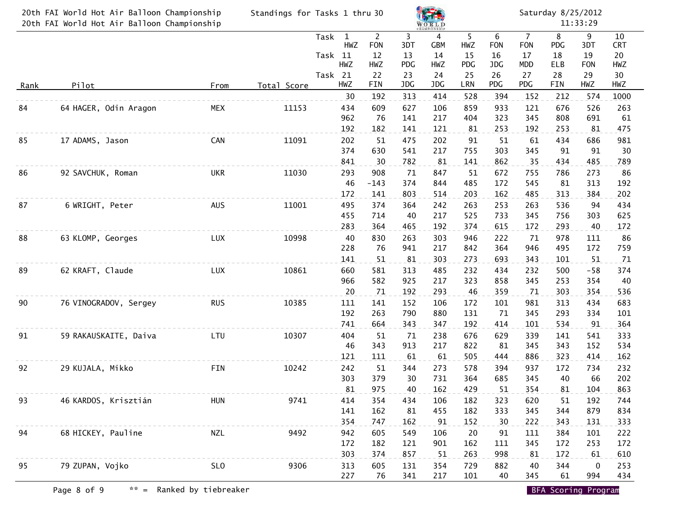| 20th FAI World Hot Air Balloon Championship<br>20th FAI World Hot Air Balloon Championship |                       |                 | Standings for Tasks 1 thru 30 |                                        | WORLD<br><b>CHAMPIONSHIP</b>       |                | Saturday 8/25/2012<br>11:33:29 |                |                       |                                    |                |                  |                        |
|--------------------------------------------------------------------------------------------|-----------------------|-----------------|-------------------------------|----------------------------------------|------------------------------------|----------------|--------------------------------|----------------|-----------------------|------------------------------------|----------------|------------------|------------------------|
|                                                                                            |                       |                 |                               | $\mathbf{1}$<br>Task<br>HWZ<br>Task 11 | $\overline{2}$<br><b>FON</b><br>12 | 3<br>3DT<br>13 | 4<br><b>GBM</b><br>14          | 5<br>HWZ<br>15 | 6<br><b>FON</b><br>16 | $\overline{7}$<br><b>FON</b><br>17 | 8<br>PDG<br>18 | 9<br>3DT<br>19   | 10<br><b>CRT</b><br>20 |
|                                                                                            |                       |                 |                               | HWZ<br>Task 21                         | HWZ<br>22                          | PDG<br>23      | HWZ<br>24                      | PDG<br>25      | JDG<br>26             | <b>MDD</b><br>27                   | ELB<br>28      | <b>FON</b><br>29 | HWZ<br>30              |
| Rank                                                                                       | Pilot                 | From            | Total Score                   | HWZ                                    | FIN                                | JDG            | JDG                            | LRN            | PDG                   | PDG                                | FIN            | HWZ              | HWZ                    |
| 84                                                                                         | 64 HAGER, Odin Aragon | <b>MEX</b>      | 11153                         | 30<br>434                              | 192<br>609                         | 313<br>627     | 414<br>106                     | 528<br>859     | 394<br>933            | 152<br>121                         | 212<br>676     | 574<br>526       | 1000<br>263            |
|                                                                                            |                       |                 |                               | 962                                    | 76                                 | 141            | 217                            | 404            | 323                   | 345                                | 808            | 691              | 61                     |
|                                                                                            |                       |                 |                               | 192                                    | 182                                | 141            | 121                            | 81             | 253                   | 192                                | 253            | 81               | 475                    |
| 85                                                                                         | 17 ADAMS, Jason       | CAN             | 11091                         | 202<br>374                             | 51<br>630                          | 475<br>541     | 202<br>217                     | 91<br>755      | 51<br>303             | 61<br>345                          | 434<br>91      | 686<br>91        | 981<br>30              |
|                                                                                            |                       |                 |                               | 841                                    | 30                                 | 782            | 81                             | 141            | 862                   | 35                                 | 434            | 485              | 789                    |
| 86                                                                                         | 92 SAVCHUK, Roman     | <b>UKR</b>      | 11030                         | 293                                    | 908                                | 71             | 847                            | 51             | 672                   | 755                                | 786            | 273              | 86                     |
|                                                                                            |                       |                 |                               | 46                                     | $-143$                             | 374            | 844                            | 485            | 172                   | 545                                | 81             | 313              | 192                    |
|                                                                                            | 6 WRIGHT, Peter       |                 |                               | 172                                    | 141                                | 803            | 514                            | 203            | 162                   | 485                                | 313            | 384              | 202                    |
| 87                                                                                         |                       | <b>AUS</b>      | 11001                         | 495<br>455                             | 374<br>714                         | 364<br>40      | 242<br>217                     | 263<br>525     | 253<br>733            | 263<br>345                         | 536<br>756     | 94<br>303        | 434<br>625             |
|                                                                                            |                       |                 |                               | 283                                    | 364                                | 465            | 192                            | 374            | 615                   | 172                                | 293            | 40               | 172                    |
| 88                                                                                         | 63 KLOMP, Georges     | LUX             | 10998                         | 40                                     | 830                                | 263            | 303                            | 946            | 222                   | 71                                 | 978            | 111              | 86                     |
|                                                                                            |                       |                 |                               | 228                                    | 76                                 | 941            | 217                            | 842            | 364                   | 946                                | 495            | 172              | 759                    |
| 89                                                                                         | 62 KRAFT, Claude      | LUX             | 10861                         | 141<br>660                             | 51<br>581                          | 81<br>313      | 303<br>485                     | 273<br>232     | 693<br>434            | 343<br>232                         | 101<br>500     | 51<br>$-58$      | 71<br>374              |
|                                                                                            |                       |                 |                               | 966                                    | 582                                | 925            | 217                            | 323            | 858                   | 345                                | 253            | 354              | 40                     |
|                                                                                            |                       |                 |                               | 20                                     | 71                                 | 192            | 293                            | 46             | 359                   | 71                                 | 303            | 354              | 536                    |
| 90                                                                                         | 76 VINOGRADOV, Sergey | <b>RUS</b>      | 10385                         | 111                                    | 141                                | 152            | 106                            | 172            | 101                   | 981                                | 313            | 434              | 683                    |
|                                                                                            |                       |                 |                               | 192<br>741                             | 263<br>664                         | 790<br>343     | 880<br>347                     | 131<br>192     | 71<br>414             | 345<br>101                         | 293<br>534     | 334<br>91        | 101<br>364             |
| 91                                                                                         | 59 RAKAUSKAITE, Daiva | LTU             | 10307                         | 404                                    | 51                                 | 71             | 238                            | 676            | 629                   | 339                                | 141            | 541              | 333                    |
|                                                                                            |                       |                 |                               | 46                                     | 343                                | 913            | 217                            | 822            | 81                    | 345                                | 343            | 152              | 534                    |
|                                                                                            |                       |                 |                               | 121                                    | 111                                | 61             | 61                             | 505            | 444                   | 886                                | 323            | 414              | 162                    |
| 92                                                                                         | 29 KUJALA, Mikko      | <b>FIN</b>      | 10242                         | 242                                    | 51                                 | 344            | 273                            | 578            | 394                   | 937                                | 172            | 734              | 232                    |
|                                                                                            |                       |                 |                               | 303<br>81                              | 379<br>975                         | 30<br>40       | 731<br>162                     | 364<br>429     | 685<br>51             | 345<br>354                         | 40<br>81       | 66<br>104        | 202<br>863             |
| 93                                                                                         | 46 KARDOS, Krisztián  | <b>HUN</b>      | 9741                          | 414                                    | 354                                | 434            | 106                            | 182            | 323                   | 620                                | 51             | 192              | 744                    |
|                                                                                            |                       |                 |                               | 141                                    | 162                                | 81             | 455                            | 182            | 333                   | 345                                | 344            | 879              | 834                    |
|                                                                                            |                       |                 |                               | 354                                    | 747                                | 162            | 91                             | 152            | 30                    | 222                                | 343            | 131              | 333                    |
| 94                                                                                         | 68 HICKEY, Pauline    | <b>NZL</b>      | 9492                          | 942                                    | 605                                | 549            | 106                            | 20             | 91                    | 111                                | 384            | 101              | 222                    |
|                                                                                            |                       |                 |                               | 172<br>303                             | 182<br>374                         | 121<br>857     | 901<br>51                      | 162<br>263     | 111<br>998            | 345<br>81                          | 172<br>172     | 253<br>61        | 172<br>610             |
| 95                                                                                         | 79 ZUPAN, Vojko       | SL <sub>0</sub> | 9306                          | 313                                    | 605                                | 131            | 354                            | 729            | 882                   | 40                                 | 344            | 0                | 253                    |
|                                                                                            |                       |                 |                               | 227                                    | 76                                 | 341            | 217                            | 101            | 40                    | 345                                | 61             | 994              | 434                    |

Page 8 of 9  $\ast \ast$  = Ranked by tiebreaker BFA Scoring Program BFA Scoring Program